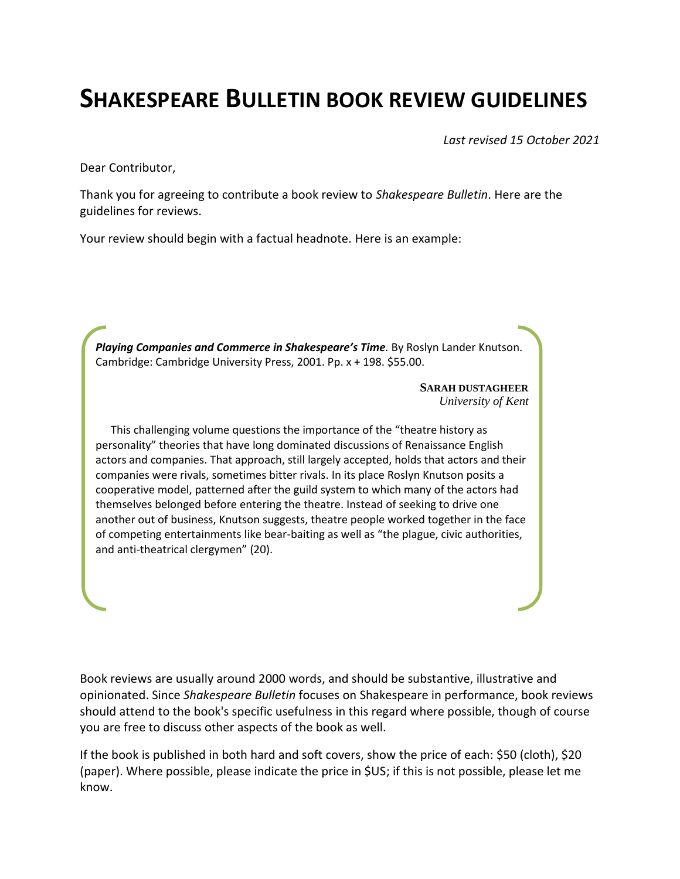## **SHAKESPEARE BULLETIN BOOK REVIEW GUIDELINES**

*Last revised 15 October 2021*

Dear Contributor,

Thank you for agreeing to contribute a book review to *Shakespeare Bulletin*. Here are the guidelines for reviews.

Your review should begin with a factual headnote. Here is an example:

*Playing Companies and Commerce in Shakespeare's Time.* By Roslyn Lander Knutson. Cambridge: Cambridge University Press, 2001. Pp. x + 198. \$55.00.

> **SARAH DUSTAGHEER** *University of Kent*

This challenging volume questions the importance of the "theatre history as personality" theories that have long dominated discussions of Renaissance English actors and companies. That approach, still largely accepted, holds that actors and their companies were rivals, sometimes bitter rivals. In its place Roslyn Knutson posits a cooperative model, patterned after the guild system to which many of the actors had themselves belonged before entering the theatre. Instead of seeking to drive one another out of business, Knutson suggests, theatre people worked together in the face of competing entertainments like bear-baiting as well as "the plague, civic authorities, and anti-theatrical clergymen" (20).

Book reviews are usually around 2000 words, and should be substantive, illustrative and opinionated. Since *Shakespeare Bulletin* focuses on Shakespeare in performance, book reviews should attend to the book's specific usefulness in this regard where possible, though of course you are free to discuss other aspects of the book as well.

If the book is published in both hard and soft covers, show the price of each: \$50 (cloth), \$20 (paper). Where possible, please indicate the price in \$US; if this is not possible, please let me know.